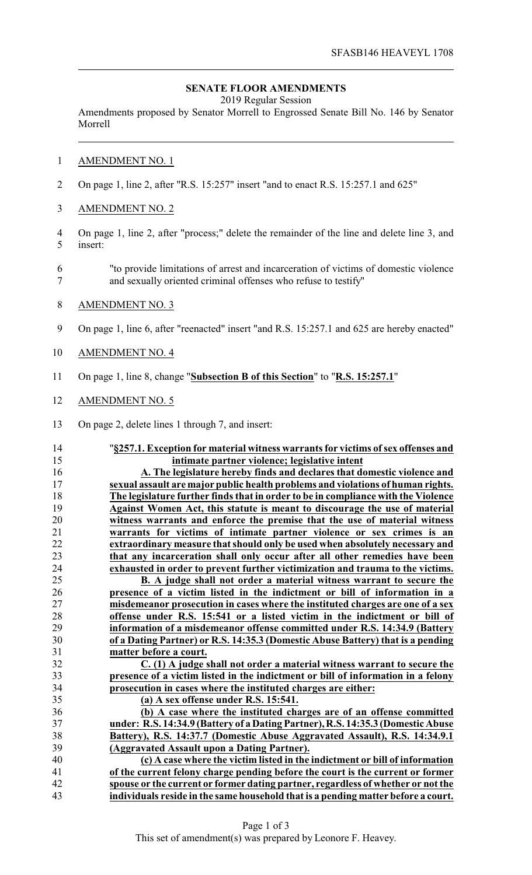## **SENATE FLOOR AMENDMENTS**

2019 Regular Session

Amendments proposed by Senator Morrell to Engrossed Senate Bill No. 146 by Senator Morrell

## AMENDMENT NO. 1

- On page 1, line 2, after "R.S. 15:257" insert "and to enact R.S. 15:257.1 and 625"
- AMENDMENT NO. 2
- On page 1, line 2, after "process;" delete the remainder of the line and delete line 3, and insert:
- "to provide limitations of arrest and incarceration of victims of domestic violence and sexually oriented criminal offenses who refuse to testify"
- AMENDMENT NO. 3
- On page 1, line 6, after "reenacted" insert "and R.S. 15:257.1 and 625 are hereby enacted"
- AMENDMENT NO. 4
- On page 1, line 8, change "**Subsection B of this Section**" to "**R.S. 15:257.1**"
- AMENDMENT NO. 5
- On page 2, delete lines 1 through 7, and insert:
- 

 "**§257.1. Exception for material witness warrants for victims ofsex offenses and intimate partner violence; legislative intent**

 **A. The legislature hereby finds and declares that domestic violence and sexual assault are major public health problems and violations of human rights. The legislature further finds that in order to be in compliance with the Violence Against Women Act, this statute is meant to discourage the use of material witness warrants and enforce the premise that the use of material witness warrants for victims of intimate partner violence or sex crimes is an extraordinary measure that should only be used when absolutely necessary and that any incarceration shall only occur after all other remedies have been exhausted in order to prevent further victimization and trauma to the victims.**

 **B. A judge shall not order a material witness warrant to secure the presence of a victim listed in the indictment or bill of information in a misdemeanor prosecution in cases where the instituted charges are one of a sex offense under R.S. 15:541 or a listed victim in the indictment or bill of information of a misdemeanor offense committed under R.S. 14:34.9 (Battery of a Dating Partner) or R.S. 14:35.3 (Domestic Abuse Battery) that is a pending matter before a court.**

 **C. (1) A judge shall not order a material witness warrant to secure the presence of a victim listed in the indictment or bill of information in a felony prosecution in cases where the instituted charges are either:**

**(a) A sex offense under R.S. 15:541.**

 **(b) A case where the instituted charges are of an offense committed under: R.S. 14:34.9 (Battery of a Dating Partner), R.S. 14:35.3 (Domestic Abuse Battery), R.S. 14:37.7 (Domestic Abuse Aggravated Assault), R.S. 14:34.9.1 (Aggravated Assault upon a Dating Partner).**

 **(c) A case where the victim listed in the indictment or bill of information of the current felony charge pending before the court is the current or former spouse or the current or former dating partner, regardless of whether or not the individuals reside in the same household that is a pending matter before a court.**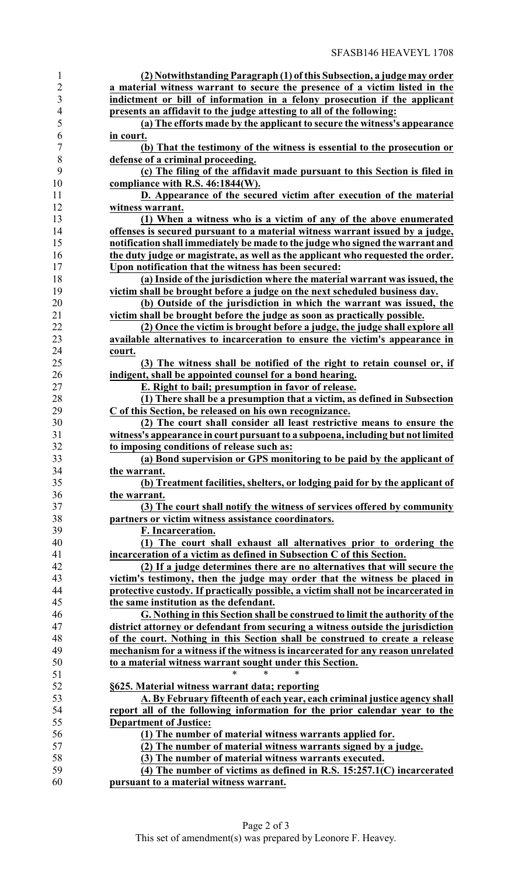| $\mathbf{1}$   | (2) Notwithstanding Paragraph (1) of this Subsection, a judge may order            |
|----------------|------------------------------------------------------------------------------------|
| $\overline{c}$ | a material witness warrant to secure the presence of a victim listed in the        |
| $\overline{3}$ | indictment or bill of information in a felony prosecution if the applicant         |
| $\overline{4}$ | presents an affidavit to the judge attesting to all of the following:              |
| 5              | (a) The efforts made by the applicant to secure the witness's appearance           |
| 6              | in court.                                                                          |
| $\overline{7}$ | (b) That the testimony of the witness is essential to the prosecution or           |
| 8              | defense of a criminal proceeding.                                                  |
| 9              | (c) The filing of the affidavit made pursuant to this Section is filed in          |
| 10             | compliance with R.S. 46:1844(W).                                                   |
| 11             |                                                                                    |
|                | D. Appearance of the secured victim after execution of the material                |
| 12             | witness warrant.                                                                   |
| 13             | (1) When a witness who is a victim of any of the above enumerated                  |
| 14             | offenses is secured pursuant to a material witness warrant issued by a judge,      |
| 15             | notification shall immediately be made to the judge who signed the warrant and     |
| 16             | the duty judge or magistrate, as well as the applicant who requested the order.    |
| 17             | Upon notification that the witness has been secured:                               |
| 18             | (a) Inside of the jurisdiction where the material warrant was issued, the          |
| 19             | victim shall be brought before a judge on the next scheduled business day.         |
| 20             | (b) Outside of the jurisdiction in which the warrant was issued, the               |
| 21             | victim shall be brought before the judge as soon as practically possible.          |
| 22             | (2) Once the victim is brought before a judge, the judge shall explore all         |
| 23             | available alternatives to incarceration to ensure the victim's appearance in       |
| 24             | court.                                                                             |
| 25             | (3) The witness shall be notified of the right to retain counsel or, if            |
| 26             | indigent, shall be appointed counsel for a bond hearing.                           |
| $27\,$         | E. Right to bail; presumption in favor of release.                                 |
| 28             | (1) There shall be a presumption that a victim, as defined in Subsection           |
| 29             | C of this Section, be released on his own recognizance.                            |
| 30             | (2) The court shall consider all least restrictive means to ensure the             |
| 31             | witness's appearance in court pursuant to a subpoena, including but not limited    |
| 32             | to imposing conditions of release such as:                                         |
| 33             | (a) Bond supervision or GPS monitoring to be paid by the applicant of              |
| 34             | the warrant.                                                                       |
| 35             | (b) Treatment facilities, shelters, or lodging paid for by the applicant of        |
| 36             | the warrant.                                                                       |
| 37             | (3) The court shall notify the witness of services offered by community            |
| 38             | partners or victim witness assistance coordinators.                                |
| 39             | F. Incarceration.                                                                  |
| 40             |                                                                                    |
|                | (1) The court shall exhaust all alternatives prior to ordering the                 |
| 41             | incarceration of a victim as defined in Subsection C of this Section.              |
| 42             | (2) If a judge determines there are no alternatives that will secure the           |
| 43             | victim's testimony, then the judge may order that the witness be placed in         |
| 44             | protective custody. If practically possible, a victim shall not be incarcerated in |
| 45             | the same institution as the defendant.                                             |
| 46             | G. Nothing in this Section shall be construed to limit the authority of the        |
| 47             | district attorney or defendant from securing a witness outside the jurisdiction    |
| 48             | of the court. Nothing in this Section shall be construed to create a release       |
| 49             | mechanism for a witness if the witness is incarcerated for any reason unrelated    |
| 50             | to a material witness warrant sought under this Section.                           |
| 51             | *<br>*<br>*                                                                        |
| 52             | §625. Material witness warrant data; reporting                                     |
| 53             | A. By February fifteenth of each year, each criminal justice agency shall          |
| 54             | report all of the following information for the prior calendar year to the         |
| 55             | <b>Department of Justice:</b>                                                      |
| 56             | (1) The number of material witness warrants applied for.                           |
| 57             | (2) The number of material witness warrants signed by a judge.                     |
| 58             | (3) The number of material witness warrants executed.                              |
| 59             | (4) The number of victims as defined in R.S. $15:257.1(C)$ incarcerated            |
| 60             | pursuant to a material witness warrant.                                            |
|                |                                                                                    |